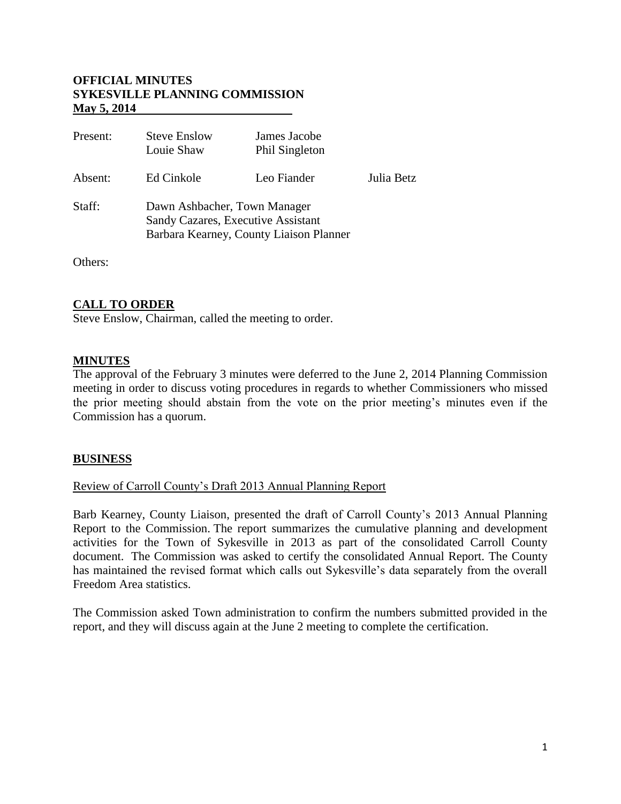### **OFFICIAL MINUTES SYKESVILLE PLANNING COMMISSION May 5, 2014**

| Present: | <b>Steve Enslow</b><br>Louie Shaw                                                                             | James Jacobe<br>Phil Singleton |            |
|----------|---------------------------------------------------------------------------------------------------------------|--------------------------------|------------|
| Absent:  | Ed Cinkole                                                                                                    | Leo Fiander                    | Julia Betz |
| Staff:   | Dawn Ashbacher, Town Manager<br>Sandy Cazares, Executive Assistant<br>Barbara Kearney, County Liaison Planner |                                |            |

Others:

#### **CALL TO ORDER**

Steve Enslow, Chairman, called the meeting to order.

#### **MINUTES**

The approval of the February 3 minutes were deferred to the June 2, 2014 Planning Commission meeting in order to discuss voting procedures in regards to whether Commissioners who missed the prior meeting should abstain from the vote on the prior meeting's minutes even if the Commission has a quorum.

#### **BUSINESS**

#### Review of Carroll County's Draft 2013 Annual Planning Report

Barb Kearney, County Liaison, presented the draft of Carroll County's 2013 Annual Planning Report to the Commission. The report summarizes the cumulative planning and development activities for the Town of Sykesville in 2013 as part of the consolidated Carroll County document. The Commission was asked to certify the consolidated Annual Report. The County has maintained the revised format which calls out Sykesville's data separately from the overall Freedom Area statistics.

The Commission asked Town administration to confirm the numbers submitted provided in the report, and they will discuss again at the June 2 meeting to complete the certification.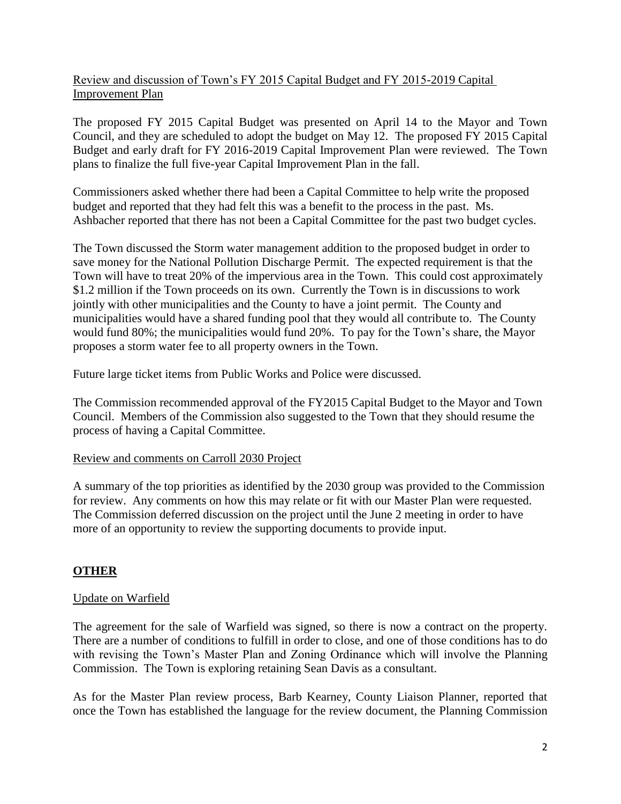# Review and discussion of Town's FY 2015 Capital Budget and FY 2015-2019 Capital Improvement Plan

The proposed FY 2015 Capital Budget was presented on April 14 to the Mayor and Town Council, and they are scheduled to adopt the budget on May 12. The proposed FY 2015 Capital Budget and early draft for FY 2016-2019 Capital Improvement Plan were reviewed. The Town plans to finalize the full five-year Capital Improvement Plan in the fall.

Commissioners asked whether there had been a Capital Committee to help write the proposed budget and reported that they had felt this was a benefit to the process in the past. Ms. Ashbacher reported that there has not been a Capital Committee for the past two budget cycles.

The Town discussed the Storm water management addition to the proposed budget in order to save money for the National Pollution Discharge Permit. The expected requirement is that the Town will have to treat 20% of the impervious area in the Town. This could cost approximately \$1.2 million if the Town proceeds on its own. Currently the Town is in discussions to work jointly with other municipalities and the County to have a joint permit. The County and municipalities would have a shared funding pool that they would all contribute to. The County would fund 80%; the municipalities would fund 20%. To pay for the Town's share, the Mayor proposes a storm water fee to all property owners in the Town.

Future large ticket items from Public Works and Police were discussed.

The Commission recommended approval of the FY2015 Capital Budget to the Mayor and Town Council. Members of the Commission also suggested to the Town that they should resume the process of having a Capital Committee.

## Review and comments on Carroll 2030 Project

A summary of the top priorities as identified by the 2030 group was provided to the Commission for review. Any comments on how this may relate or fit with our Master Plan were requested. The Commission deferred discussion on the project until the June 2 meeting in order to have more of an opportunity to review the supporting documents to provide input.

## **OTHER**

## Update on Warfield

The agreement for the sale of Warfield was signed, so there is now a contract on the property. There are a number of conditions to fulfill in order to close, and one of those conditions has to do with revising the Town's Master Plan and Zoning Ordinance which will involve the Planning Commission. The Town is exploring retaining Sean Davis as a consultant.

As for the Master Plan review process, Barb Kearney, County Liaison Planner, reported that once the Town has established the language for the review document, the Planning Commission